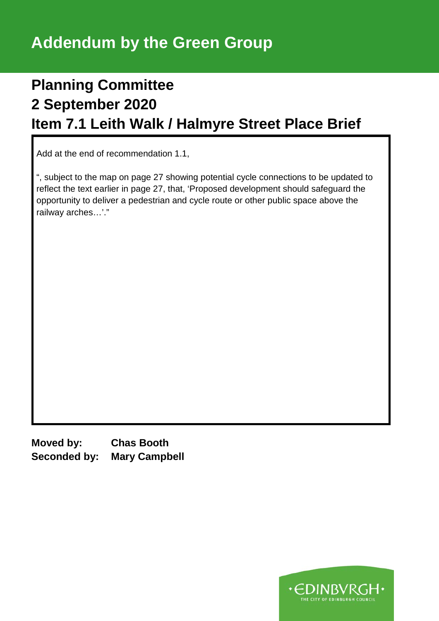## **Planning Committee 2 September 2020 Item 7.1 Leith Walk / Halmyre Street Place Brief**

Add at the end of recommendation 1.1,

", subject to the map on page 27 showing potential cycle connections to be updated to reflect the text earlier in page 27, that, 'Proposed development should safeguard the opportunity to deliver a pedestrian and cycle route or other public space above the railway arches…'."

**Moved by: Chas Booth Seconded by: Mary Campbell**

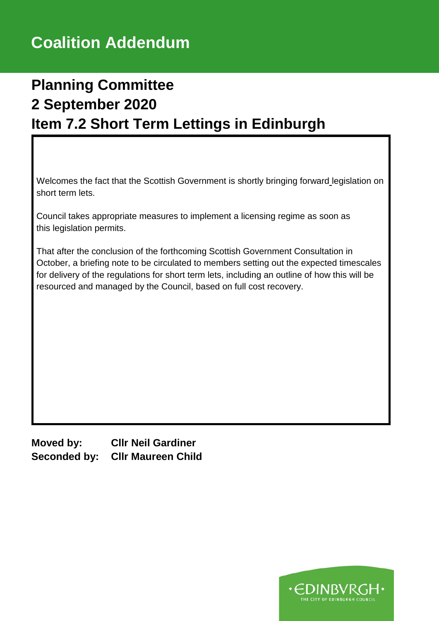## **Planning Committee 2 September 2020 Item 7.2 Short Term Lettings in Edinburgh**

Welcomes the fact that the Scottish Government is shortly bringing forward legislation on short term lets.

Council takes appropriate measures to implement a licensing regime as soon as this legislation permits.

That after the conclusion of the forthcoming Scottish Government Consultation in October, a briefing note to be circulated to members setting out the expected timescales for delivery of the regulations for short term lets, including an outline of how this will be resourced and managed by the Council, based on full cost recovery.

**Moved by: Cllr Neil Gardiner Seconded by: Cllr Maureen Child**

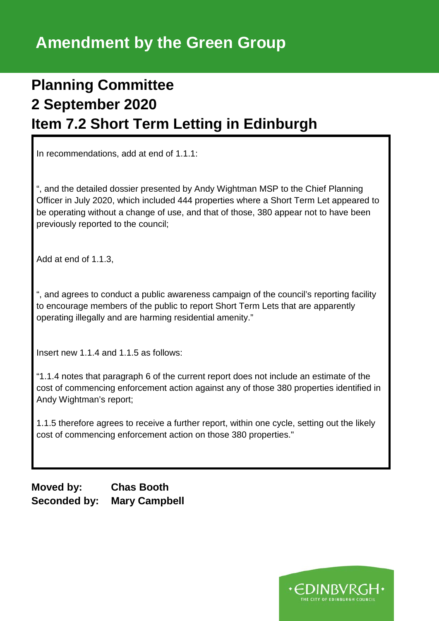## **Planning Committee 2 September 2020 Item 7.2 Short Term Letting in Edinburgh**

In recommendations, add at end of 1.1.1:

", and the detailed dossier presented by Andy Wightman MSP to the Chief Planning Officer in July 2020, which included 444 properties where a Short Term Let appeared to be operating without a change of use, and that of those, 380 appear not to have been previously reported to the council;

Add at end of 1.1.3,

", and agrees to conduct a public awareness campaign of the council's reporting facility to encourage members of the public to report Short Term Lets that are apparently operating illegally and are harming residential amenity."

Insert new 1.1.4 and 1.1.5 as follows:

"1.1.4 notes that paragraph 6 of the current report does not include an estimate of the cost of commencing enforcement action against any of those 380 properties identified in Andy Wightman's report;

1.1.5 therefore agrees to receive a further report, within one cycle, setting out the likely cost of commencing enforcement action on those 380 properties."

**Moved by: Chas Booth Seconded by: Mary Campbell**